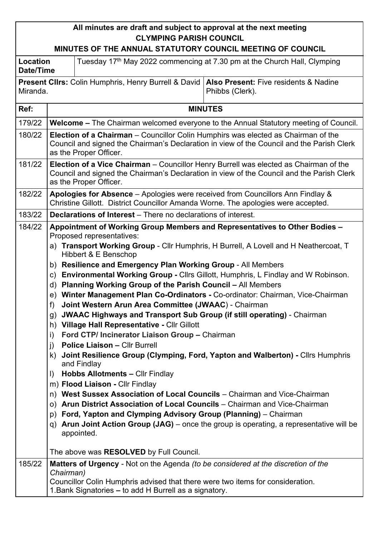## **All minutes are draft and subject to approval at the next meeting CLYMPING PARISH COUNCIL**

## **MINUTES OF THE ANNUAL STATUTORY COUNCIL MEETING OF COUNCIL**

| Location<br>Date/Time |                                                                                                                                                                                                                                                                                                                                                                                                                                                                                                                                                                                                                                                                                                                                                                                                                                                                                                                                                                                                                                                                                                                                                                                                                                                                                                                                                                                                                 | Tuesday 17 <sup>th</sup> May 2022 commencing at 7.30 pm at the Church Hall, Clymping                                                     |  |  |  |  |  |
|-----------------------|-----------------------------------------------------------------------------------------------------------------------------------------------------------------------------------------------------------------------------------------------------------------------------------------------------------------------------------------------------------------------------------------------------------------------------------------------------------------------------------------------------------------------------------------------------------------------------------------------------------------------------------------------------------------------------------------------------------------------------------------------------------------------------------------------------------------------------------------------------------------------------------------------------------------------------------------------------------------------------------------------------------------------------------------------------------------------------------------------------------------------------------------------------------------------------------------------------------------------------------------------------------------------------------------------------------------------------------------------------------------------------------------------------------------|------------------------------------------------------------------------------------------------------------------------------------------|--|--|--|--|--|
| Miranda.              |                                                                                                                                                                                                                                                                                                                                                                                                                                                                                                                                                                                                                                                                                                                                                                                                                                                                                                                                                                                                                                                                                                                                                                                                                                                                                                                                                                                                                 | <b>Present Clirs: Colin Humphris, Henry Burrell &amp; David</b><br>Also Present: Five residents & Nadine<br>Phibbs (Clerk).              |  |  |  |  |  |
| Ref:                  | <b>MINUTES</b>                                                                                                                                                                                                                                                                                                                                                                                                                                                                                                                                                                                                                                                                                                                                                                                                                                                                                                                                                                                                                                                                                                                                                                                                                                                                                                                                                                                                  |                                                                                                                                          |  |  |  |  |  |
| 179/22                | Welcome - The Chairman welcomed everyone to the Annual Statutory meeting of Council.                                                                                                                                                                                                                                                                                                                                                                                                                                                                                                                                                                                                                                                                                                                                                                                                                                                                                                                                                                                                                                                                                                                                                                                                                                                                                                                            |                                                                                                                                          |  |  |  |  |  |
| 180/22                | Election of a Chairman - Councillor Colin Humphirs was elected as Chairman of the<br>Council and signed the Chairman's Declaration in view of the Council and the Parish Clerk<br>as the Proper Officer.                                                                                                                                                                                                                                                                                                                                                                                                                                                                                                                                                                                                                                                                                                                                                                                                                                                                                                                                                                                                                                                                                                                                                                                                        |                                                                                                                                          |  |  |  |  |  |
| 181/22                | Election of a Vice Chairman - Councillor Henry Burrell was elected as Chairman of the<br>Council and signed the Chairman's Declaration in view of the Council and the Parish Clerk<br>as the Proper Officer.                                                                                                                                                                                                                                                                                                                                                                                                                                                                                                                                                                                                                                                                                                                                                                                                                                                                                                                                                                                                                                                                                                                                                                                                    |                                                                                                                                          |  |  |  |  |  |
| 182/22                | Apologies for Absence - Apologies were received from Councillors Ann Findlay &<br>Christine Gillott. District Councillor Amanda Worne. The apologies were accepted.                                                                                                                                                                                                                                                                                                                                                                                                                                                                                                                                                                                                                                                                                                                                                                                                                                                                                                                                                                                                                                                                                                                                                                                                                                             |                                                                                                                                          |  |  |  |  |  |
| 183/22                |                                                                                                                                                                                                                                                                                                                                                                                                                                                                                                                                                                                                                                                                                                                                                                                                                                                                                                                                                                                                                                                                                                                                                                                                                                                                                                                                                                                                                 | <b>Declarations of Interest</b> – There no declarations of interest.                                                                     |  |  |  |  |  |
| 184/22                | Appointment of Working Group Members and Representatives to Other Bodies -<br>Proposed representatives:<br>a) Transport Working Group - Cllr Humphris, H Burrell, A Lovell and H Neathercoat, T<br>Hibbert & E Benschop<br>b) Resilience and Emergency Plan Working Group - All Members<br><b>Environmental Working Group - Clirs Gillott, Humphris, L Findlay and W Robinson.</b><br>C)<br>Planning Working Group of the Parish Council - All Members<br>d)<br>e) Winter Management Plan Co-Ordinators - Co-ordinator: Chairman, Vice-Chairman<br>Joint Western Arun Area Committee (JWAAC) - Chairman<br>f)<br><b>JWAAC Highways and Transport Sub Group (if still operating) - Chairman</b><br>g)<br>h) Village Hall Representative - Cllr Gillott<br>Ford CTP/ Incinerator Liaison Group - Chairman<br>i)<br><b>Police Liaison - Cllr Burrell</b><br>j)<br>Joint Resilience Group (Clymping, Ford, Yapton and Walberton) - Cllrs Humphris<br>k)<br>and Findlay<br><b>Hobbs Allotments - Cllr Findlay</b><br>$\vert$<br>m) Flood Liaison - Cllr Findlay<br>n) West Sussex Association of Local Councils - Chairman and Vice-Chairman<br>Arun District Association of Local Councils - Chairman and Vice-Chairman<br>O()<br>Ford, Yapton and Clymping Advisory Group (Planning) – Chairman<br>p)<br>Arun Joint Action Group (JAG) – once the group is operating, a representative will be<br>q)<br>appointed. |                                                                                                                                          |  |  |  |  |  |
| 185/22                | Chairman)                                                                                                                                                                                                                                                                                                                                                                                                                                                                                                                                                                                                                                                                                                                                                                                                                                                                                                                                                                                                                                                                                                                                                                                                                                                                                                                                                                                                       | The above was RESOLVED by Full Council.<br>Matters of Urgency - Not on the Agenda (to be considered at the discretion of the             |  |  |  |  |  |
|                       |                                                                                                                                                                                                                                                                                                                                                                                                                                                                                                                                                                                                                                                                                                                                                                                                                                                                                                                                                                                                                                                                                                                                                                                                                                                                                                                                                                                                                 | Councillor Colin Humphris advised that there were two items for consideration.<br>1. Bank Signatories – to add H Burrell as a signatory. |  |  |  |  |  |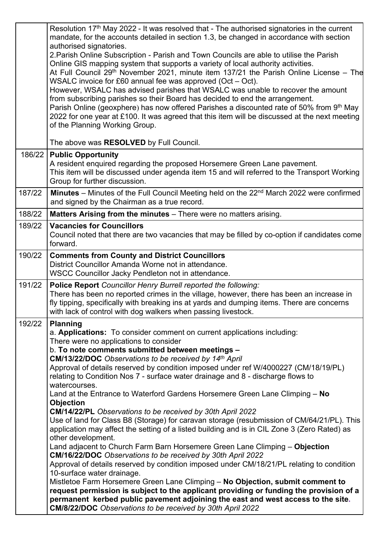|        | Resolution 17 <sup>th</sup> May 2022 - It was resolved that - The authorised signatories in the current<br>mandate, for the accounts detailed in section 1.3, be changed in accordance with section<br>authorised signatories.<br>2. Parish Online Subscription - Parish and Town Councils are able to utilise the Parish<br>Online GIS mapping system that supports a variety of local authority activities.<br>At Full Council 29 <sup>th</sup> November 2021, minute item 137/21 the Parish Online License – The<br>WSALC invoice for £60 annual fee was approved (Oct - Oct).<br>However, WSALC has advised parishes that WSALC was unable to recover the amount<br>from subscribing parishes so their Board has decided to end the arrangement.<br>Parish Online (geoxphere) has now offered Parishes a discounted rate of 50% from 9 <sup>th</sup> May<br>2022 for one year at £100. It was agreed that this item will be discussed at the next meeting<br>of the Planning Working Group.                                                                                                                                                                                                                                                                                                                                                                                                                                                   |
|--------|---------------------------------------------------------------------------------------------------------------------------------------------------------------------------------------------------------------------------------------------------------------------------------------------------------------------------------------------------------------------------------------------------------------------------------------------------------------------------------------------------------------------------------------------------------------------------------------------------------------------------------------------------------------------------------------------------------------------------------------------------------------------------------------------------------------------------------------------------------------------------------------------------------------------------------------------------------------------------------------------------------------------------------------------------------------------------------------------------------------------------------------------------------------------------------------------------------------------------------------------------------------------------------------------------------------------------------------------------------------------------------------------------------------------------------------------------|
|        | The above was RESOLVED by Full Council.                                                                                                                                                                                                                                                                                                                                                                                                                                                                                                                                                                                                                                                                                                                                                                                                                                                                                                                                                                                                                                                                                                                                                                                                                                                                                                                                                                                                           |
|        | 186/22   Public Opportunity<br>A resident enquired regarding the proposed Horsemere Green Lane pavement.<br>This item will be discussed under agenda item 15 and will referred to the Transport Working<br>Group for further discussion.                                                                                                                                                                                                                                                                                                                                                                                                                                                                                                                                                                                                                                                                                                                                                                                                                                                                                                                                                                                                                                                                                                                                                                                                          |
| 187/22 | <b>Minutes</b> – Minutes of the Full Council Meeting held on the $22^{nd}$ March 2022 were confirmed<br>and signed by the Chairman as a true record.                                                                                                                                                                                                                                                                                                                                                                                                                                                                                                                                                                                                                                                                                                                                                                                                                                                                                                                                                                                                                                                                                                                                                                                                                                                                                              |
| 188/22 | Matters Arising from the minutes - There were no matters arising.                                                                                                                                                                                                                                                                                                                                                                                                                                                                                                                                                                                                                                                                                                                                                                                                                                                                                                                                                                                                                                                                                                                                                                                                                                                                                                                                                                                 |
| 189/22 | <b>Vacancies for Councillors</b><br>Council noted that there are two vacancies that may be filled by co-option if candidates come<br>forward.                                                                                                                                                                                                                                                                                                                                                                                                                                                                                                                                                                                                                                                                                                                                                                                                                                                                                                                                                                                                                                                                                                                                                                                                                                                                                                     |
| 190/22 | <b>Comments from County and District Councillors</b><br>District Councillor Amanda Worne not in attendance.<br>WSCC Councillor Jacky Pendleton not in attendance.                                                                                                                                                                                                                                                                                                                                                                                                                                                                                                                                                                                                                                                                                                                                                                                                                                                                                                                                                                                                                                                                                                                                                                                                                                                                                 |
| 191/22 | Police Report Councillor Henry Burrell reported the following:<br>There has been no reported crimes in the village, however, there has been an increase in<br>fly tipping, specifically with breaking ins at yards and dumping items. There are concerns<br>with lack of control with dog walkers when passing livestock.                                                                                                                                                                                                                                                                                                                                                                                                                                                                                                                                                                                                                                                                                                                                                                                                                                                                                                                                                                                                                                                                                                                         |
| 192/22 | <b>Planning</b><br>a. Applications: To consider comment on current applications including:<br>There were no applications to consider<br>b. To note comments submitted between meetings -<br><b>CM/13/22/DOC</b> Observations to be received by 14th April<br>Approval of details reserved by condition imposed under ref W/4000227 (CM/18/19/PL)<br>relating to Condition Nos 7 - surface water drainage and 8 - discharge flows to<br>watercourses.<br>Land at the Entrance to Waterford Gardens Horsemere Green Lane Climping - No<br><b>Objection</b><br>CM/14/22/PL Observations to be received by 30th April 2022<br>Use of land for Class B8 (Storage) for caravan storage (resubmission of CM/64/21/PL). This<br>application may affect the setting of a listed building and is in CIL Zone 3 (Zero Rated) as<br>other development.<br>Land adjacent to Church Farm Barn Horsemere Green Lane Climping - Objection<br>CM/16/22/DOC Observations to be received by 30th April 2022<br>Approval of details reserved by condition imposed under CM/18/21/PL relating to condition<br>10-surface water drainage.<br>Mistletoe Farm Horsemere Green Lane Climping - No Objection, submit comment to<br>request permission is subject to the applicant providing or funding the provision of a<br>permanent kerbed public pavement adjoining the east and west access to the site.<br>CM/8/22/DOC Observations to be received by 30th April 2022 |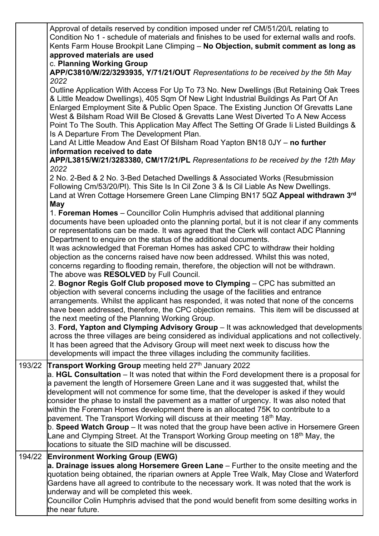|        | Approval of details reserved by condition imposed under ref CM/51/20/L relating to<br>Condition No 1 - schedule of materials and finishes to be used for external walls and roofs.<br>Kents Farm House Brookpit Lane Climping - No Objection, submit comment as long as<br>approved materials are used<br>c. Planning Working Group                                                                                                                                                                                                                                                                                                                                                                                                                                                                                                                                     |  |  |  |  |  |  |  |
|--------|-------------------------------------------------------------------------------------------------------------------------------------------------------------------------------------------------------------------------------------------------------------------------------------------------------------------------------------------------------------------------------------------------------------------------------------------------------------------------------------------------------------------------------------------------------------------------------------------------------------------------------------------------------------------------------------------------------------------------------------------------------------------------------------------------------------------------------------------------------------------------|--|--|--|--|--|--|--|
|        | APP/C3810/W/22/3293935, Y/71/21/OUT Representations to be received by the 5th May<br>2022                                                                                                                                                                                                                                                                                                                                                                                                                                                                                                                                                                                                                                                                                                                                                                               |  |  |  |  |  |  |  |
|        | Outline Application With Access For Up To 73 No. New Dwellings (But Retaining Oak Trees<br>& Little Meadow Dwellings), 405 Sqm Of New Light Industrial Buildings As Part Of An<br>Enlarged Employment Site & Public Open Space. The Existing Junction Of Grevatts Lane<br>West & Bilsham Road Will Be Closed & Grevatts Lane West Diverted To A New Access<br>Point To The South. This Application May Affect The Setting Of Grade Ii Listed Buildings &<br>Is A Departure From The Development Plan.<br>Land At Little Meadow And East Of Bilsham Road Yapton BN18 0JY - no further                                                                                                                                                                                                                                                                                    |  |  |  |  |  |  |  |
|        | information received to date<br>APP/L3815/W/21/3283380, CM/17/21/PL Representations to be received by the 12th May                                                                                                                                                                                                                                                                                                                                                                                                                                                                                                                                                                                                                                                                                                                                                      |  |  |  |  |  |  |  |
|        | 2022<br>2 No. 2-Bed & 2 No. 3-Bed Detached Dwellings & Associated Works (Resubmission<br>Following Cm/53/20/PI). This Site Is In Cil Zone 3 & Is Cil Liable As New Dwellings.<br>Land at Wren Cottage Horsemere Green Lane Climping BN17 5QZ Appeal withdrawn 3rd<br>May                                                                                                                                                                                                                                                                                                                                                                                                                                                                                                                                                                                                |  |  |  |  |  |  |  |
|        | 1. Foreman Homes - Councillor Colin Humphris advised that additional planning<br>documents have been uploaded onto the planning portal, but it is not clear if any comments<br>or representations can be made. It was agreed that the Clerk will contact ADC Planning<br>Department to enquire on the status of the additional documents.                                                                                                                                                                                                                                                                                                                                                                                                                                                                                                                               |  |  |  |  |  |  |  |
|        | It was acknowledged that Foreman Homes has asked CPC to withdraw their holding<br>objection as the concerns raised have now been addressed. Whilst this was noted,<br>concerns regarding to flooding remain, therefore, the objection will not be withdrawn.<br>The above was RESOLVED by Full Council.                                                                                                                                                                                                                                                                                                                                                                                                                                                                                                                                                                 |  |  |  |  |  |  |  |
|        | 2. Bognor Regis Golf Club proposed move to Clymping - CPC has submitted an<br>objection with several concerns including the usage of the facilities and entrance<br>arrangements. Whilst the applicant has responded, it was noted that none of the concerns<br>have been addressed, therefore, the CPC objection remains. This item will be discussed at<br>the next meeting of the Planning Working Group.<br>3. Ford, Yapton and Clymping Advisory Group - It was acknowledged that developments                                                                                                                                                                                                                                                                                                                                                                     |  |  |  |  |  |  |  |
|        | across the three villages are being considered as individual applications and not collectively.<br>It has been agreed that the Advisory Group will meet next week to discuss how the<br>developments will impact the three villages including the community facilities.                                                                                                                                                                                                                                                                                                                                                                                                                                                                                                                                                                                                 |  |  |  |  |  |  |  |
| 193/22 | Transport Working Group meeting held 27th January 2022<br>a. HGL Consultation $-$ It was noted that within the Ford development there is a proposal for<br>a pavement the length of Horsemere Green Lane and it was suggested that, whilst the<br>development will not commence for some time, that the developer is asked if they would<br>consider the phase to install the pavement as a matter of urgency. It was also noted that<br>within the Foreman Homes development there is an allocated 75K to contribute to a<br>pavement. The Transport Working will discuss at their meeting 18 <sup>th</sup> May.<br>b. Speed Watch Group – It was noted that the group have been active in Horsemere Green<br>Lane and Clymping Street. At the Transport Working Group meeting on 18 <sup>th</sup> May, the<br>locations to situate the SID machine will be discussed. |  |  |  |  |  |  |  |
| 194/22 | <b>Environment Working Group (EWG)</b><br>a. Drainage issues along Horsemere Green Lane – Further to the onsite meeting and the<br>quotation being obtained, the riparian owners at Apple Tree Walk, May Close and Waterford<br>Gardens have all agreed to contribute to the necessary work. It was noted that the work is<br>underway and will be completed this week.<br>Councillor Colin Humphris advised that the pond would benefit from some desilting works in<br>the near future.                                                                                                                                                                                                                                                                                                                                                                               |  |  |  |  |  |  |  |